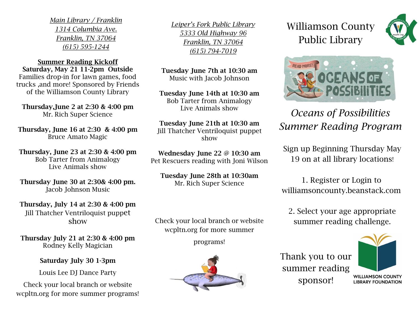*Main Library / Franklin 1314 Columbia Ave. Franklin, TN 37064 (615) 595-1244* 

Summer Reading Kickoff Saturday, May 21 11-2pm Outside Families drop-in for lawn games, food trucks ,and more! Sponsored by Friends of the Williamson County Library

Thursday,June 2 at 2:30 & 4:00 pm Mr. Rich Super Science

Thursday, June 16 at 2:30 & 4:00 pm Bruce Amato Magic

Thursday, June 23 at 2:30 & 4:00 pm Bob Tarter from Animalogy Live Animals show

Thursday June 30 at 2:30& 4:00 pm. Jacob Johnson Music

Thursday, July 14 at 2:30 & 4:00 pm Jill Thatcher Ventriloquist puppet show

Thursday July 21 at 2:30 & 4:00 pm Rodney Kelly Magician

Saturday July 30 1-3pm

Louis Lee DJ Dance Party

Check your local branch or website wcpltn.org for more summer programs! *Leiper's Fork Public Library 5333 Old Highway 96 Franklin, TN 37064 (615) 794-7019*

Tuesday June 7th at 10:30 am Music with Jacob Johnson

Tuesday June 14th at 10:30 am Bob Tarter from Animalogy Live Animals show

Tuesday June 21th at 10:30 am Jill Thatcher Ventriloquist puppet show

Wednesday June 22 @ 10:30 am Pet Rescuers reading with Joni Wilson

Tuesday June 28th at 10:30am Mr. Rich Super Science

Check your local branch or website wcpltn.org for more summer

programs!



## Williamson County Public Library





## *Oceans of Possibilities Summer Reading Program*

Sign up Beginning Thursday May 19 on at all library locations!

1. Register or Login to williamsoncounty.beanstack.com

2. Select your age appropriate summer reading challenge.

Thank you to our summer reading sponsor!



**WILLIAMSON COUNTY LIBRARY FOUNDATION**